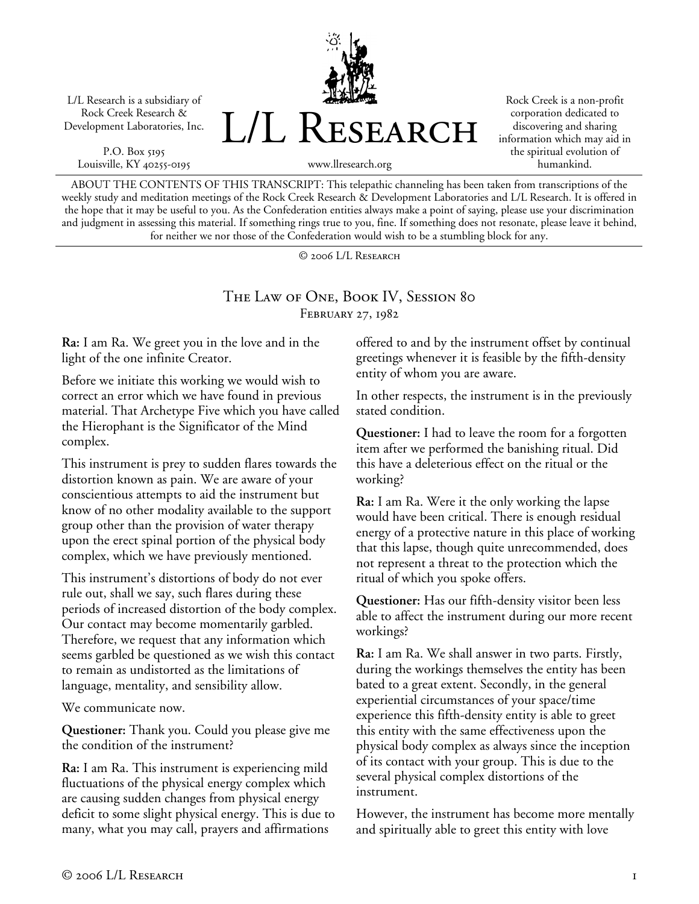L/L Research is a subsidiary of Rock Creek Research & Development Laboratories, Inc.

P.O. Box 5195 Louisville, KY 40255-0195



Rock Creek is a non-profit corporation dedicated to discovering and sharing information which may aid in the spiritual evolution of humankind.

www.llresearch.org

ABOUT THE CONTENTS OF THIS TRANSCRIPT: This telepathic channeling has been taken from transcriptions of the weekly study and meditation meetings of the Rock Creek Research & Development Laboratories and L/L Research. It is offered in the hope that it may be useful to you. As the Confederation entities always make a point of saying, please use your discrimination and judgment in assessing this material. If something rings true to you, fine. If something does not resonate, please leave it behind, for neither we nor those of the Confederation would wish to be a stumbling block for any.

© 2006 L/L Research

The Law of One, Book IV, Session 80 February 27, 1982

**Ra:** I am Ra. We greet you in the love and in the light of the one infinite Creator.

Before we initiate this working we would wish to correct an error which we have found in previous material. That Archetype Five which you have called the Hierophant is the Significator of the Mind complex.

This instrument is prey to sudden flares towards the distortion known as pain. We are aware of your conscientious attempts to aid the instrument but know of no other modality available to the support group other than the provision of water therapy upon the erect spinal portion of the physical body complex, which we have previously mentioned.

This instrument's distortions of body do not ever rule out, shall we say, such flares during these periods of increased distortion of the body complex. Our contact may become momentarily garbled. Therefore, we request that any information which seems garbled be questioned as we wish this contact to remain as undistorted as the limitations of language, mentality, and sensibility allow.

We communicate now.

**Questioner:** Thank you. Could you please give me the condition of the instrument?

**Ra:** I am Ra. This instrument is experiencing mild fluctuations of the physical energy complex which are causing sudden changes from physical energy deficit to some slight physical energy. This is due to many, what you may call, prayers and affirmations

offered to and by the instrument offset by continual greetings whenever it is feasible by the fifth-density entity of whom you are aware.

In other respects, the instrument is in the previously stated condition.

**Questioner:** I had to leave the room for a forgotten item after we performed the banishing ritual. Did this have a deleterious effect on the ritual or the working?

**Ra:** I am Ra. Were it the only working the lapse would have been critical. There is enough residual energy of a protective nature in this place of working that this lapse, though quite unrecommended, does not represent a threat to the protection which the ritual of which you spoke offers.

**Questioner:** Has our fifth-density visitor been less able to affect the instrument during our more recent workings?

**Ra:** I am Ra. We shall answer in two parts. Firstly, during the workings themselves the entity has been bated to a great extent. Secondly, in the general experiential circumstances of your space/time experience this fifth-density entity is able to greet this entity with the same effectiveness upon the physical body complex as always since the inception of its contact with your group. This is due to the several physical complex distortions of the instrument.

However, the instrument has become more mentally and spiritually able to greet this entity with love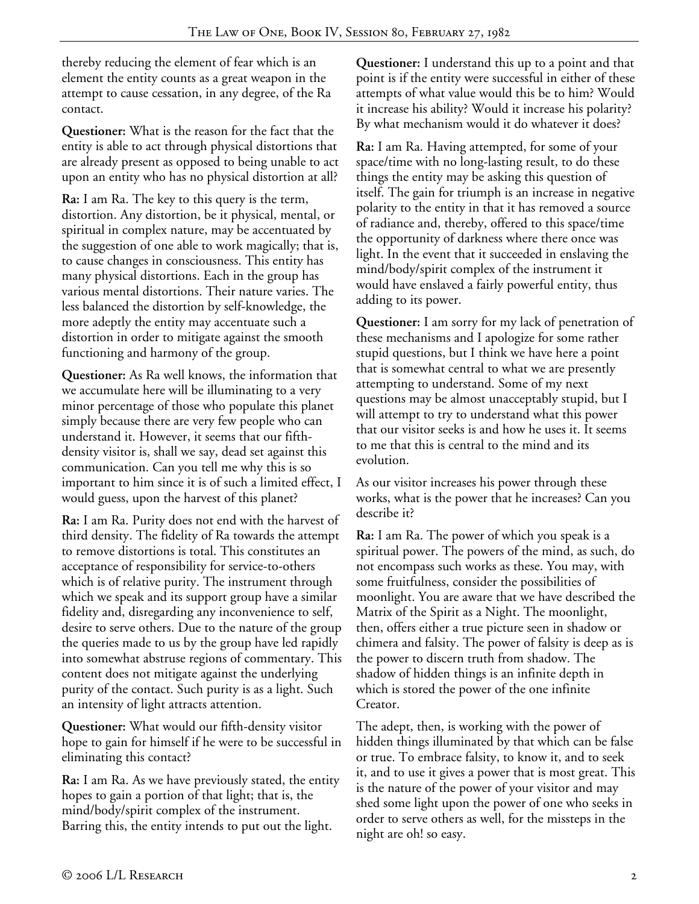thereby reducing the element of fear which is an element the entity counts as a great weapon in the attempt to cause cessation, in any degree, of the Ra contact.

**Questioner:** What is the reason for the fact that the entity is able to act through physical distortions that are already present as opposed to being unable to act upon an entity who has no physical distortion at all?

**Ra:** I am Ra. The key to this query is the term, distortion. Any distortion, be it physical, mental, or spiritual in complex nature, may be accentuated by the suggestion of one able to work magically; that is, to cause changes in consciousness. This entity has many physical distortions. Each in the group has various mental distortions. Their nature varies. The less balanced the distortion by self-knowledge, the more adeptly the entity may accentuate such a distortion in order to mitigate against the smooth functioning and harmony of the group.

**Questioner:** As Ra well knows, the information that we accumulate here will be illuminating to a very minor percentage of those who populate this planet simply because there are very few people who can understand it. However, it seems that our fifthdensity visitor is, shall we say, dead set against this communication. Can you tell me why this is so important to him since it is of such a limited effect, I would guess, upon the harvest of this planet?

**Ra:** I am Ra. Purity does not end with the harvest of third density. The fidelity of Ra towards the attempt to remove distortions is total. This constitutes an acceptance of responsibility for service-to-others which is of relative purity. The instrument through which we speak and its support group have a similar fidelity and, disregarding any inconvenience to self, desire to serve others. Due to the nature of the group the queries made to us by the group have led rapidly into somewhat abstruse regions of commentary. This content does not mitigate against the underlying purity of the contact. Such purity is as a light. Such an intensity of light attracts attention.

**Questioner:** What would our fifth-density visitor hope to gain for himself if he were to be successful in eliminating this contact?

**Ra:** I am Ra. As we have previously stated, the entity hopes to gain a portion of that light; that is, the mind/body/spirit complex of the instrument. Barring this, the entity intends to put out the light.

**Questioner:** I understand this up to a point and that point is if the entity were successful in either of these attempts of what value would this be to him? Would it increase his ability? Would it increase his polarity? By what mechanism would it do whatever it does?

**Ra:** I am Ra. Having attempted, for some of your space/time with no long-lasting result, to do these things the entity may be asking this question of itself. The gain for triumph is an increase in negative polarity to the entity in that it has removed a source of radiance and, thereby, offered to this space/time the opportunity of darkness where there once was light. In the event that it succeeded in enslaving the mind/body/spirit complex of the instrument it would have enslaved a fairly powerful entity, thus adding to its power.

**Questioner:** I am sorry for my lack of penetration of these mechanisms and I apologize for some rather stupid questions, but I think we have here a point that is somewhat central to what we are presently attempting to understand. Some of my next questions may be almost unacceptably stupid, but I will attempt to try to understand what this power that our visitor seeks is and how he uses it. It seems to me that this is central to the mind and its evolution.

As our visitor increases his power through these works, what is the power that he increases? Can you describe it?

**Ra:** I am Ra. The power of which you speak is a spiritual power. The powers of the mind, as such, do not encompass such works as these. You may, with some fruitfulness, consider the possibilities of moonlight. You are aware that we have described the Matrix of the Spirit as a Night. The moonlight, then, offers either a true picture seen in shadow or chimera and falsity. The power of falsity is deep as is the power to discern truth from shadow. The shadow of hidden things is an infinite depth in which is stored the power of the one infinite Creator.

The adept, then, is working with the power of hidden things illuminated by that which can be false or true. To embrace falsity, to know it, and to seek it, and to use it gives a power that is most great. This is the nature of the power of your visitor and may shed some light upon the power of one who seeks in order to serve others as well, for the missteps in the night are oh! so easy.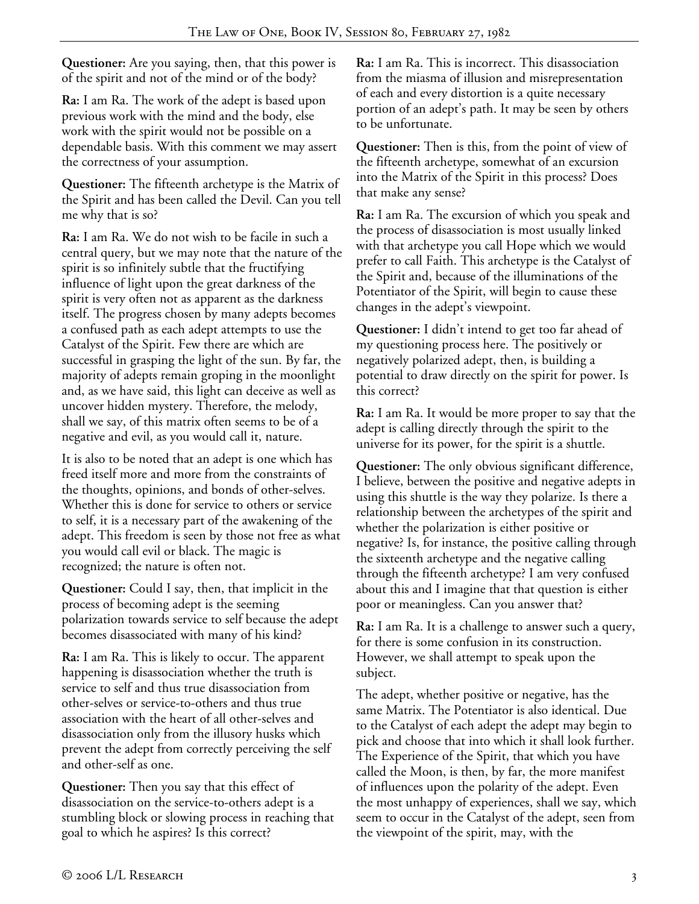**Questioner:** Are you saying, then, that this power is of the spirit and not of the mind or of the body?

**Ra:** I am Ra. The work of the adept is based upon previous work with the mind and the body, else work with the spirit would not be possible on a dependable basis. With this comment we may assert the correctness of your assumption.

**Questioner:** The fifteenth archetype is the Matrix of the Spirit and has been called the Devil. Can you tell me why that is so?

**Ra:** I am Ra. We do not wish to be facile in such a central query, but we may note that the nature of the spirit is so infinitely subtle that the fructifying influence of light upon the great darkness of the spirit is very often not as apparent as the darkness itself. The progress chosen by many adepts becomes a confused path as each adept attempts to use the Catalyst of the Spirit. Few there are which are successful in grasping the light of the sun. By far, the majority of adepts remain groping in the moonlight and, as we have said, this light can deceive as well as uncover hidden mystery. Therefore, the melody, shall we say, of this matrix often seems to be of a negative and evil, as you would call it, nature.

It is also to be noted that an adept is one which has freed itself more and more from the constraints of the thoughts, opinions, and bonds of other-selves. Whether this is done for service to others or service to self, it is a necessary part of the awakening of the adept. This freedom is seen by those not free as what you would call evil or black. The magic is recognized; the nature is often not.

**Questioner:** Could I say, then, that implicit in the process of becoming adept is the seeming polarization towards service to self because the adept becomes disassociated with many of his kind?

**Ra:** I am Ra. This is likely to occur. The apparent happening is disassociation whether the truth is service to self and thus true disassociation from other-selves or service-to-others and thus true association with the heart of all other-selves and disassociation only from the illusory husks which prevent the adept from correctly perceiving the self and other-self as one.

**Questioner:** Then you say that this effect of disassociation on the service-to-others adept is a stumbling block or slowing process in reaching that goal to which he aspires? Is this correct?

**Ra:** I am Ra. This is incorrect. This disassociation from the miasma of illusion and misrepresentation of each and every distortion is a quite necessary portion of an adept's path. It may be seen by others to be unfortunate.

**Questioner:** Then is this, from the point of view of the fifteenth archetype, somewhat of an excursion into the Matrix of the Spirit in this process? Does that make any sense?

**Ra:** I am Ra. The excursion of which you speak and the process of disassociation is most usually linked with that archetype you call Hope which we would prefer to call Faith. This archetype is the Catalyst of the Spirit and, because of the illuminations of the Potentiator of the Spirit, will begin to cause these changes in the adept's viewpoint.

**Questioner:** I didn't intend to get too far ahead of my questioning process here. The positively or negatively polarized adept, then, is building a potential to draw directly on the spirit for power. Is this correct?

**Ra:** I am Ra. It would be more proper to say that the adept is calling directly through the spirit to the universe for its power, for the spirit is a shuttle.

**Questioner:** The only obvious significant difference, I believe, between the positive and negative adepts in using this shuttle is the way they polarize. Is there a relationship between the archetypes of the spirit and whether the polarization is either positive or negative? Is, for instance, the positive calling through the sixteenth archetype and the negative calling through the fifteenth archetype? I am very confused about this and I imagine that that question is either poor or meaningless. Can you answer that?

**Ra:** I am Ra. It is a challenge to answer such a query, for there is some confusion in its construction. However, we shall attempt to speak upon the subject.

The adept, whether positive or negative, has the same Matrix. The Potentiator is also identical. Due to the Catalyst of each adept the adept may begin to pick and choose that into which it shall look further. The Experience of the Spirit, that which you have called the Moon, is then, by far, the more manifest of influences upon the polarity of the adept. Even the most unhappy of experiences, shall we say, which seem to occur in the Catalyst of the adept, seen from the viewpoint of the spirit, may, with the